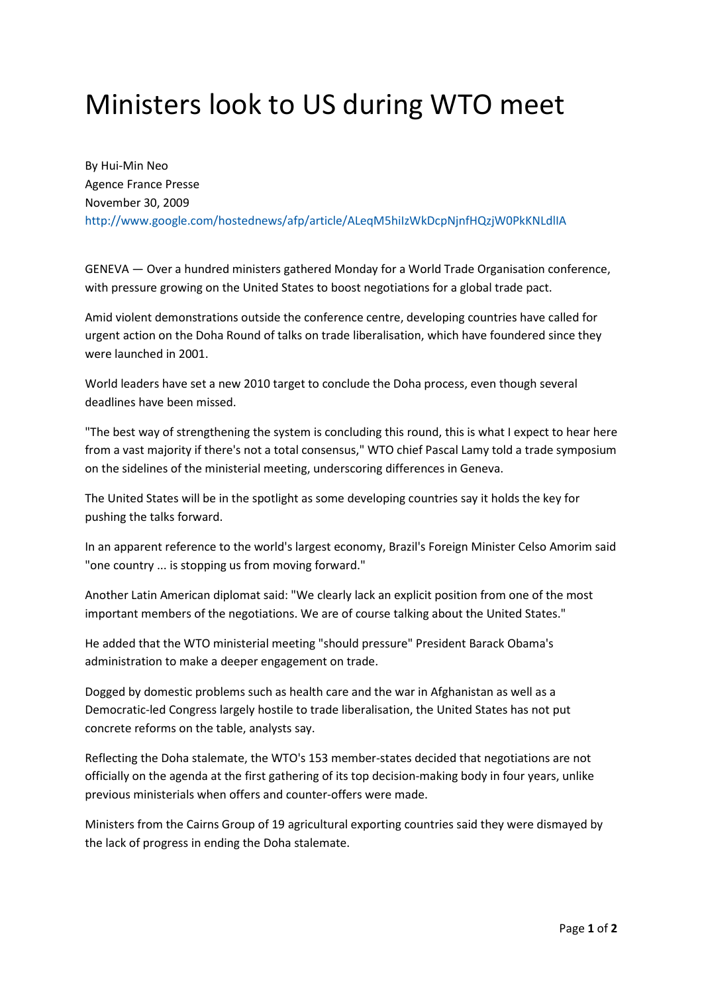## Ministers look to US during WTO meet

By Hui-Min Neo Agence France Presse November 30, 2009 http://www.google.com/hostednews/afp/article/ALeqM5hiIzWkDcpNjnfHQzjW0PkKNLdlIA

GENEVA — Over a hundred ministers gathered Monday for a World Trade Organisation conference, with pressure growing on the United States to boost negotiations for a global trade pact.

Amid violent demonstrations outside the conference centre, developing countries have called for urgent action on the Doha Round of talks on trade liberalisation, which have foundered since they were launched in 2001.

World leaders have set a new 2010 target to conclude the Doha process, even though several deadlines have been missed.

"The best way of strengthening the system is concluding this round, this is what I expect to hear here from a vast majority if there's not a total consensus," WTO chief Pascal Lamy told a trade symposium on the sidelines of the ministerial meeting, underscoring differences in Geneva.

The United States will be in the spotlight as some developing countries say it holds the key for pushing the talks forward.

In an apparent reference to the world's largest economy, Brazil's Foreign Minister Celso Amorim said "one country ... is stopping us from moving forward."

Another Latin American diplomat said: "We clearly lack an explicit position from one of the most important members of the negotiations. We are of course talking about the United States."

He added that the WTO ministerial meeting "should pressure" President Barack Obama's administration to make a deeper engagement on trade.

Dogged by domestic problems such as health care and the war in Afghanistan as well as a Democratic-led Congress largely hostile to trade liberalisation, the United States has not put concrete reforms on the table, analysts say.

Reflecting the Doha stalemate, the WTO's 153 member-states decided that negotiations are not officially on the agenda at the first gathering of its top decision-making body in four years, unlike previous ministerials when offers and counter-offers were made.

Ministers from the Cairns Group of 19 agricultural exporting countries said they were dismayed by the lack of progress in ending the Doha stalemate.